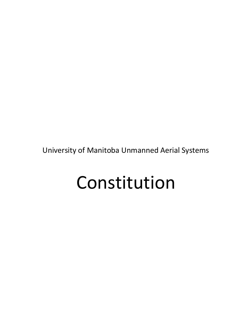University of Manitoba Unmanned Aerial Systems

# Constitution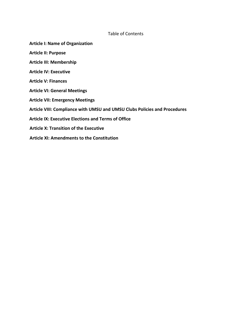# Table of Contents

- **Article I: Name of Organization**
- **Article II: Purpose**
- **Article III: Membership**
- **Article IV: Executive**
- **Article V: Finances**
- **Article VI: General Meetings**
- **Article VII: Emergency Meetings**
- **Article VIII: Compliance with UMSU and UMSU Clubs Policies and Procedures**
- **Article IX: Executive Elections and Terms of Office**
- **Article X: Transition of the Executive**
- **Article XI: Amendments to the Constitution**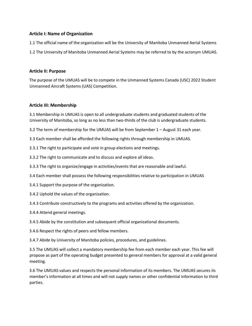# **Article I: Name of Organization**

1.1 The official name of the organization will be the University of Manitoba Unmanned Aerial Systems

1.2 The University of Manitoba Unmanned Aerial Systems may be referred to by the acronym UMUAS.

#### **Article II: Purpose**

The purpose of the UMUAS will be to compete in the Unmanned Systems Canada (USC) 2022 Student Unmanned Aircraft Systems (UAS) Competition.

## **Article III: Membership**

3.1 Membership in UMUAS is open to all undergraduate students and graduated students of the University of Manitoba, so long as no less than two-thirds of the club is undergraduate students.

3.2 The term of membership for the UMUAS will be from September 1 – August 31 each year.

3.3 Each member shall be afforded the following rights through membership in UMUAS.

3.3.1 The right to participate and vote in group elections and meetings.

3.3.2 The right to communicate and to discuss and explore all ideas.

3.3.3 The right to organize/engage in activities/events that are reasonable and lawful.

3.4 Each member shall possess the following responsibilities relative to participation in UMUAS

3.4.1 Support the purpose of the organization.

3.4.2 Uphold the values of the organization.

3.4.3 Contribute constructively to the programs and activities offered by the organization.

3.4.4 Attend general meetings.

3.4.5 Abide by the constitution and subsequent official organizational documents.

3.4.6 Respect the rights of peers and fellow members.

3.4.7 Abide by University of Manitoba policies, procedures, and guidelines.

3.5 The UMUAS will collect a mandatory membership fee from each member each year. This fee will propose as part of the operating budget presented to general members for approval at a valid general meeting.

3.6 The UMUAS values and respects the personal information of its members. The UMUAS secures its member's information at all times and will not supply names or other confidential information to third parties.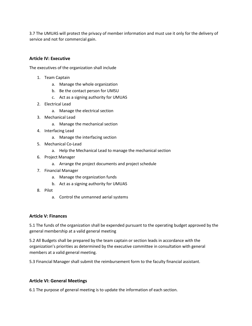3.7 The UMUAS will protect the privacy of member information and must use it only for the delivery of service and not for commercial gain.

#### **Article IV: Executive**

The executives of the organization shall include

- 1. Team Captain
	- a. Manage the whole organization
	- b. Be the contact person for UMSU
	- c. Act as a signing authority for UMUAS
- 2. Electrical Lead
	- a. Manage the electrical section
- 3. Mechanical Lead
	- a. Manage the mechanical section
- 4. Interfacing Lead
	- a. Manage the interfacing section
- 5. Mechanical Co-Lead
	- a. Help the Mechanical Lead to manage the mechanical section
- 6. Project Manager
	- a. Arrange the project documents and project schedule
- 7. Financial Manager
	- a. Manage the organization funds
	- b. Act as a signing authority for UMUAS
- 8. Pilot
	- a. Control the unmanned aerial systems

#### **Article V: Finances**

5.1 The funds of the organization shall be expended pursuant to the operating budget approved by the general membership at a valid general meeting

5.2 All Budgets shall be prepared by the team captain or section leads in accordance with the organization's priorities as determined by the executive committee in consultation with general members at a valid general meeting.

5.3 Financial Manager shall submit the reimbursement form to the faculty financial assistant.

#### **Article VI: General Meetings**

6.1 The purpose of general meeting is to update the information of each section.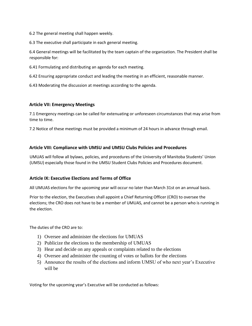6.2 The general meeting shall happen weekly.

6.3 The executive shall participate in each general meeting.

6.4 General meetings will be facilitated by the team captain of the organization. The President shall be responsible for:

6.41 Formulating and distributing an agenda for each meeting.

6.42 Ensuring appropriate conduct and leading the meeting in an efficient, reasonable manner.

6.43 Moderating the discussion at meetings according to the agenda.

## **Article VII: Emergency Meetings**

7.1 Emergency meetings can be called for extenuating or unforeseen circumstances that may arise from time to time.

7.2 Notice of these meetings must be provided a minimum of 24 hours in advance through email.

# **Article VIII: Compliance with UMSU and UMSU Clubs Policies and Procedures**

UMUAS will follow all bylaws, policies, and procedures of the University of Manitoba Students' Union (UMSU) especially those found in the UMSU Student Clubs Policies and Procedures document.

# **Article IX: Executive Elections and Terms of Office**

All UMUAS elections for the upcoming year will occur no later than March 31st on an annual basis.

Prior to the election, the Executives shall appoint a Chief Returning Officer (CRO) to oversee the elections; the CRO does not have to be a member of UMUAS, and cannot be a person who is running in the election.

The duties of the CRO are to:

- 1) Oversee and administer the elections for UMUAS
- 2) Publicize the elections to the membership of UMUAS
- 3) Hear and decide on any appeals or complaints related to the elections
- 4) Oversee and administer the counting of votes or ballots for the elections
- 5) Announce the results of the elections and inform UMSU of who next year's Executive will be

Voting for the upcoming year's Executive will be conducted as follows: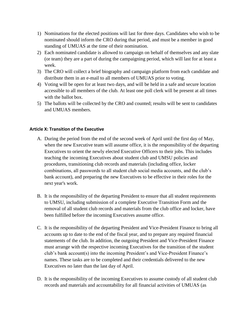- 1) Nominations for the elected positions will last for three days. Candidates who wish to be nominated should inform the CRO during that period, and must be a member in good standing of UMUAS at the time of their nomination.
- 2) Each nominated candidate is allowed to campaign on behalf of themselves and any slate (or team) they are a part of during the campaigning period, which will last for at least a week.
- 3) The CRO will collect a brief biography and campaign platform from each candidate and distribute them in an e-mail to all members of UMUAS prior to voting.
- 4) Voting will be open for at least two days, and will be held in a safe and secure location accessible to all members of the club. At least one poll clerk will be present at all times with the ballot box.
- 5) The ballots will be collected by the CRO and counted; results will be sent to candidates and UMUAS members.

# **Article X: Transition of the Executive**

- A. During the period from the end of the second week of April until the first day of May, when the new Executive team will assume office, it is the responsibility of the departing Executives to orient the newly elected Executive Officers to their jobs. This includes teaching the incoming Executives about student club and UMSU policies and procedures, transitioning club records and materials (including office, locker combinations, all passwords to all student club social media accounts, and the club's bank account), and preparing the new Executives to be effective in their roles for the next year's work.
- B. It is the responsibility of the departing President to ensure that all student requirements to UMSU, including submission of a complete Executive Transition Form and the removal of all student club records and materials from the club office and locker, have been fulfilled before the incoming Executives assume office.
- C. It is the responsibility of the departing President and Vice-President Finance to bring all accounts up to date to the end of the fiscal year, and to prepare any required financial statements of the club. In addition, the outgoing President and Vice-President Finance must arrange with the respective incoming Executives for the transition of the student club's bank account(s) into the incoming President's and Vice-President Finance's names. These tasks are to be completed and their credentials delivered to the new Executives no later than the last day of April.
- D. It is the responsibility of the incoming Executives to assume custody of all student club records and materials and accountability for all financial activities of UMUAS (as